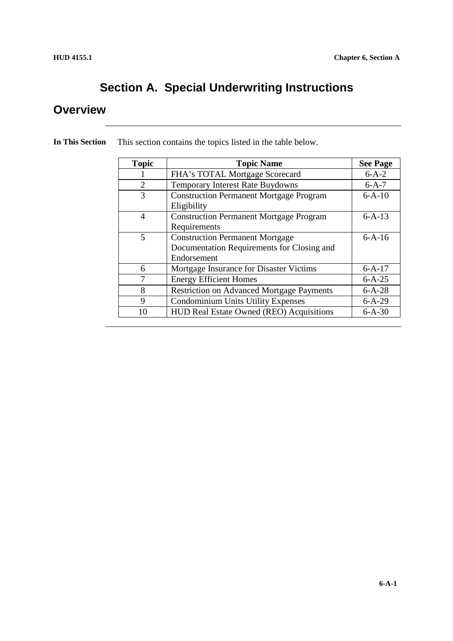### **Section A. Special Underwriting Instructions**

#### **Overview**

| <b>Topic</b>   | <b>Topic Name</b>                                                                                   | <b>See Page</b> |
|----------------|-----------------------------------------------------------------------------------------------------|-----------------|
|                | FHA's TOTAL Mortgage Scorecard                                                                      | $6 - A - 2$     |
| $\overline{2}$ | <b>Temporary Interest Rate Buydowns</b>                                                             | $6-A-7$         |
| 3              | <b>Construction Permanent Mortgage Program</b><br>Eligibility                                       | $6 - A - 10$    |
| $\overline{4}$ | <b>Construction Permanent Mortgage Program</b><br>Requirements                                      | $6 - A - 13$    |
| 5              | <b>Construction Permanent Mortgage</b><br>Documentation Requirements for Closing and<br>Endorsement | $6-A-16$        |
| 6              | Mortgage Insurance for Disaster Victims                                                             | $6 - A - 17$    |
| 7              | <b>Energy Efficient Homes</b>                                                                       | $6 - A - 25$    |
| 8              | <b>Restriction on Advanced Mortgage Payments</b>                                                    | $6 - A - 28$    |
| 9              | <b>Condominium Units Utility Expenses</b>                                                           | $6 - A - 29$    |
| 10             | HUD Real Estate Owned (REO) Acquisitions                                                            | $6 - A - 30$    |

**In This Section** This section contains the topics listed in the table below.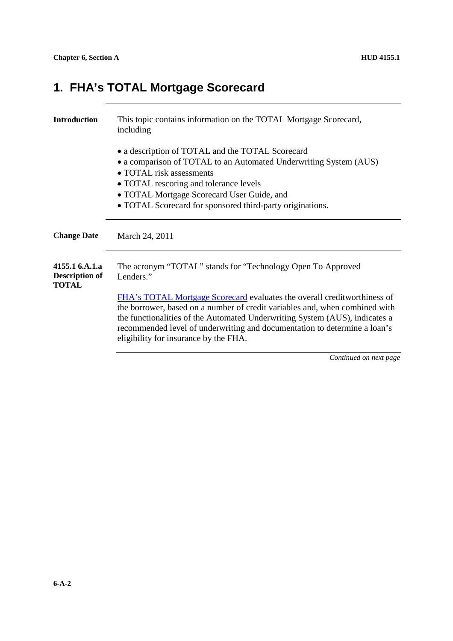# **1. FHA's TOTAL Mortgage Scorecard**

| <b>Introduction</b>                                     | This topic contains information on the TOTAL Mortgage Scorecard,<br>including                                                                                                                                                                                                                                       |
|---------------------------------------------------------|---------------------------------------------------------------------------------------------------------------------------------------------------------------------------------------------------------------------------------------------------------------------------------------------------------------------|
|                                                         | • a description of TOTAL and the TOTAL Scorecard<br>• a comparison of TOTAL to an Automated Underwriting System (AUS)                                                                                                                                                                                               |
|                                                         | $\bullet$ TOTAL risk assessments                                                                                                                                                                                                                                                                                    |
|                                                         | • TOTAL rescoring and tolerance levels                                                                                                                                                                                                                                                                              |
|                                                         | • TOTAL Mortgage Scorecard User Guide, and                                                                                                                                                                                                                                                                          |
|                                                         | • TOTAL Scorecard for sponsored third-party originations.                                                                                                                                                                                                                                                           |
| <b>Change Date</b>                                      | March 24, 2011                                                                                                                                                                                                                                                                                                      |
| 4155.1 6.A.1.a<br><b>Description of</b><br><b>TOTAL</b> | The acronym "TOTAL" stands for "Technology Open To Approved<br>Lenders."                                                                                                                                                                                                                                            |
|                                                         | FHA's TOTAL Mortgage Scorecard evaluates the overall creditworthiness of<br>the borrower, based on a number of credit variables and, when combined with<br>the functionalities of the Automated Underwriting System (AUS), indicates a<br>recommended level of underwriting and documentation to determine a loan's |
|                                                         | eligibility for insurance by the FHA.<br>Continued on next page                                                                                                                                                                                                                                                     |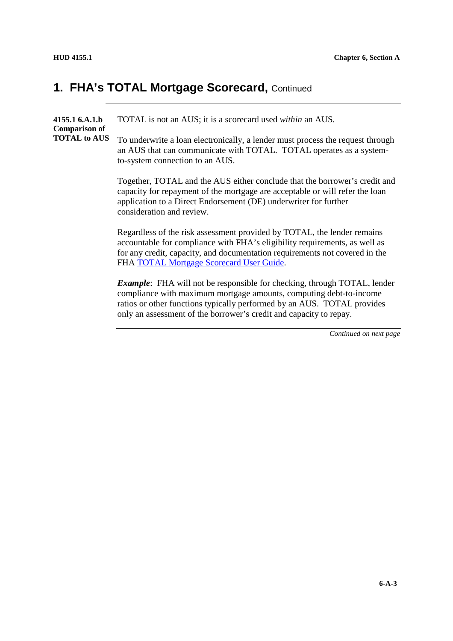**4155.1 6.A.1.b Comparison of TOTAL to AUS** TOTAL is not an AUS; it is a scorecard used *within* an AUS. To underwrite a loan electronically, a lender must process the request through an AUS that can communicate with TOTAL. TOTAL operates as a systemto-system connection to an AUS. Together, TOTAL and the AUS either conclude that the borrower's credit and capacity for repayment of the mortgage are acceptable or will refer the loan application to a Direct Endorsement (DE) underwriter for further consideration and review. Regardless of the risk assessment provided by TOTAL, the lender remains accountable for compliance with FHA's eligibility requirements, as well as for any credit, capacity, and documentation requirements not covered in the FHA TOTAL Mortgage Scorecard User Guide. *Example*: FHA will not be responsible for checking, through TOTAL, lender

compliance with maximum mortgage amounts, computing debt-to-income ratios or other functions typically performed by an AUS. TOTAL provides only an assessment of the borrower's credit and capacity to repay.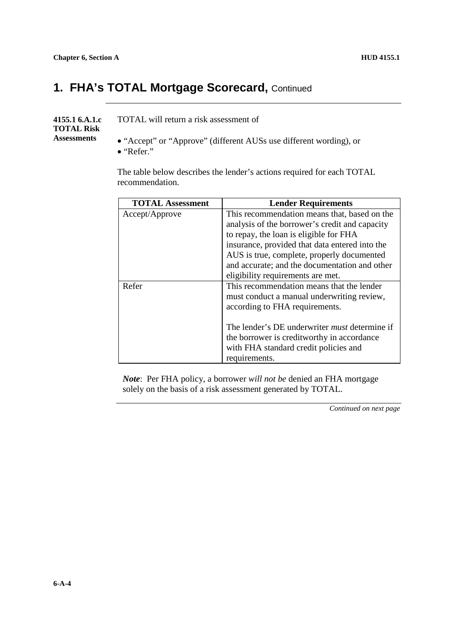#### **4155.1 6.A.1.c TOTAL Risk Assessments** TOTAL will return a risk assessment of "Accept" or "Approve" (different AUSs use different wording), or "Refer."

The table below describes the lender's actions required for each TOTAL recommendation.

| <b>TOTAL Assessment</b> | <b>Lender Requirements</b>                           |
|-------------------------|------------------------------------------------------|
| Accept/Approve          | This recommendation means that, based on the         |
|                         | analysis of the borrower's credit and capacity       |
|                         | to repay, the loan is eligible for FHA               |
|                         | insurance, provided that data entered into the       |
|                         | AUS is true, complete, properly documented           |
|                         | and accurate; and the documentation and other        |
|                         | eligibility requirements are met.                    |
| Refer                   | This recommendation means that the lender            |
|                         | must conduct a manual underwriting review,           |
|                         | according to FHA requirements.                       |
|                         |                                                      |
|                         | The lender's DE underwriter <i>must</i> determine if |
|                         | the borrower is creditworthy in accordance           |
|                         | with FHA standard credit policies and                |
|                         | requirements.                                        |

*Note*: Per FHA policy, a borrower *will not be* denied an FHA mortgage solely on the basis of a risk assessment generated by TOTAL.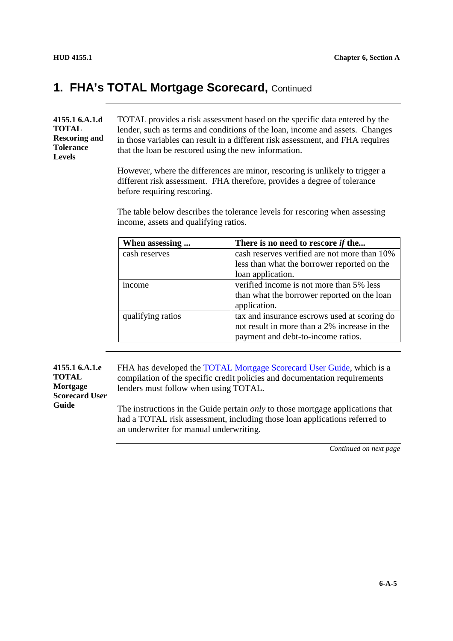**4155.1 6.A.1.d TOTAL Rescoring and Tolerance Levels**

TOTAL provides a risk assessment based on the specific data entered by the lender, such as terms and conditions of the loan, income and assets. Changes in those variables can result in a different risk assessment, and FHA requires that the loan be rescored using the new information.

However, where the differences are minor, rescoring is unlikely to trigger a different risk assessment. FHA therefore, provides a degree of tolerance before requiring rescoring.

The table below describes the tolerance levels for rescoring when assessing income, assets and qualifying ratios.

| When assessing    | There is no need to rescore if the           |
|-------------------|----------------------------------------------|
| cash reserves     | cash reserves verified are not more than 10% |
|                   | less than what the borrower reported on the  |
|                   | loan application.                            |
| <i>n</i> come     | verified income is not more than 5% less     |
|                   | than what the borrower reported on the loan  |
|                   | application.                                 |
| qualifying ratios | tax and insurance escrows used at scoring do |
|                   | not result in more than a 2% increase in the |
|                   | payment and debt-to-income ratios.           |

**4155.1 6.A.1.e TOTAL Mortgage Scorecard User Guide**

FHA has developed the **TOTAL Mortgage Scorecard User Guide**, which is a compilation of the specific credit policies and documentation requirements lenders must follow when using TOTAL.

The instructions in the Guide pertain *only* to those mortgage applications that had a TOTAL risk assessment, including those loan applications referred to an underwriter for manual underwriting.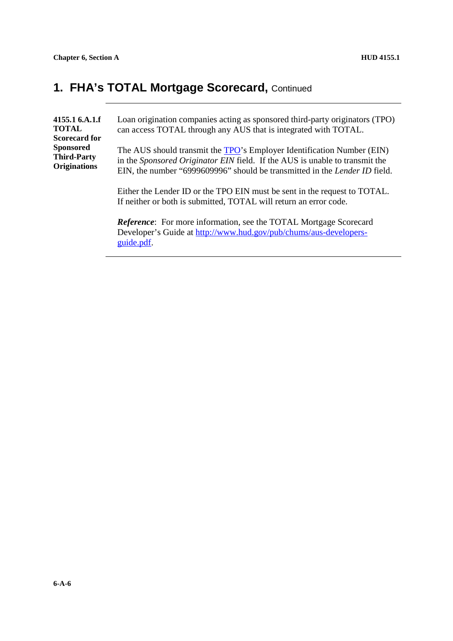| 4155.1 6.A.1.f<br><b>TOTAL</b><br><b>Scorecard for</b>        | Loan origination companies acting as sponsored third-party originators (TPO)<br>can access TOTAL through any AUS that is integrated with TOTAL.                                                                                                    |
|---------------------------------------------------------------|----------------------------------------------------------------------------------------------------------------------------------------------------------------------------------------------------------------------------------------------------|
| <b>Sponsored</b><br><b>Third-Party</b><br><b>Originations</b> | The AUS should transmit the <b>TPO</b> 's Employer Identification Number (EIN)<br>in the Sponsored Originator EIN field. If the AUS is unable to transmit the<br>EIN, the number "6999609996" should be transmitted in the <i>Lender ID</i> field. |
|                                                               | Either the Lender ID or the TPO EIN must be sent in the request to TOTAL.<br>If neither or both is submitted, TOTAL will return an error code.                                                                                                     |
|                                                               | Reference: For more information, see the TOTAL Mortgage Scorecard<br>Developer's Guide at http://www.hud.gov/pub/chums/aus-developers-<br>guide.pdf.                                                                                               |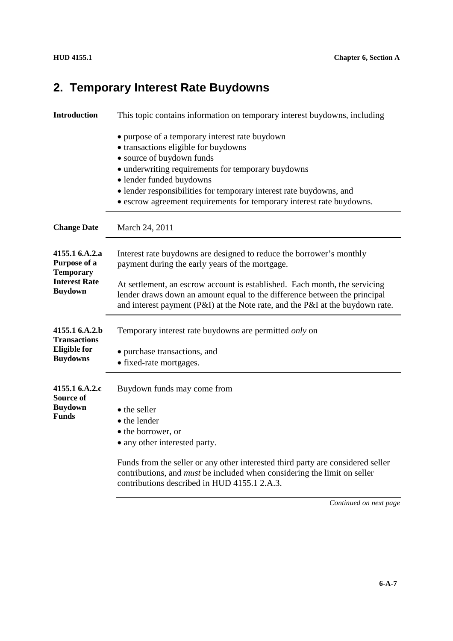### **2. Temporary Interest Rate Buydowns**

| <b>Introduction</b>                                | This topic contains information on temporary interest buydowns, including                                                                                                                                                                                                                                                                             |
|----------------------------------------------------|-------------------------------------------------------------------------------------------------------------------------------------------------------------------------------------------------------------------------------------------------------------------------------------------------------------------------------------------------------|
|                                                    | • purpose of a temporary interest rate buydown<br>• transactions eligible for buydowns<br>• source of buydown funds<br>• underwriting requirements for temporary buydowns<br>· lender funded buydowns<br>• lender responsibilities for temporary interest rate buydowns, and<br>• escrow agreement requirements for temporary interest rate buydowns. |
| <b>Change Date</b>                                 | March 24, 2011                                                                                                                                                                                                                                                                                                                                        |
| 4155.1 6.A.2.a<br>Purpose of a<br><b>Temporary</b> | Interest rate buydowns are designed to reduce the borrower's monthly<br>payment during the early years of the mortgage.                                                                                                                                                                                                                               |
| <b>Interest Rate</b><br><b>Buydown</b>             | At settlement, an escrow account is established. Each month, the servicing<br>lender draws down an amount equal to the difference between the principal<br>and interest payment (P&I) at the Note rate, and the P&I at the buydown rate.                                                                                                              |
| 4155.1 6.A.2.b<br><b>Transactions</b>              | Temporary interest rate buydowns are permitted <i>only</i> on                                                                                                                                                                                                                                                                                         |
| <b>Eligible</b> for<br><b>Buydowns</b>             | • purchase transactions, and<br>• fixed-rate mortgages.                                                                                                                                                                                                                                                                                               |
| 4155.1 6.A.2.c<br>Source of                        | Buydown funds may come from                                                                                                                                                                                                                                                                                                                           |
| <b>Buydown</b><br><b>Funds</b>                     | • the seller<br>• the lender<br>• the borrower, or<br>• any other interested party.                                                                                                                                                                                                                                                                   |
|                                                    | Funds from the seller or any other interested third party are considered seller<br>contributions, and <i>must</i> be included when considering the limit on seller<br>contributions described in HUD 4155.1 2.A.3.                                                                                                                                    |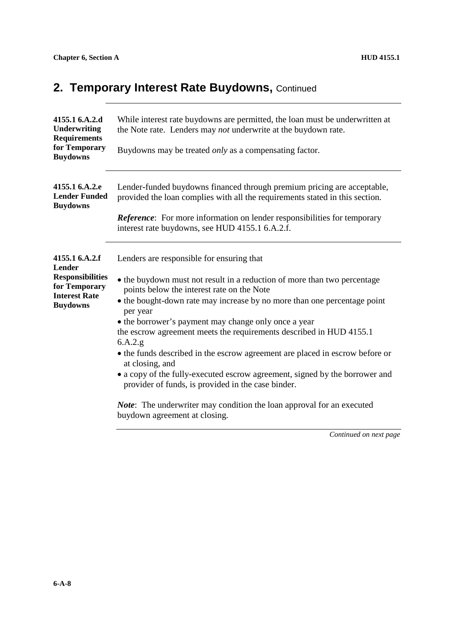### **2. Temporary Interest Rate Buydowns, Continued**

| 4155.1 6.A.2.d<br><b>Underwriting</b><br><b>Requirements</b><br>for Temporary<br><b>Buydowns</b>                | While interest rate buydowns are permitted, the loan must be underwritten at<br>the Note rate. Lenders may not underwrite at the buydown rate.<br>Buydowns may be treated <i>only</i> as a compensating factor.                                                                                                                                                                                                                                                                                                                                                                                                                                                                                                                                                 |
|-----------------------------------------------------------------------------------------------------------------|-----------------------------------------------------------------------------------------------------------------------------------------------------------------------------------------------------------------------------------------------------------------------------------------------------------------------------------------------------------------------------------------------------------------------------------------------------------------------------------------------------------------------------------------------------------------------------------------------------------------------------------------------------------------------------------------------------------------------------------------------------------------|
| 4155.1 6.A.2.e<br><b>Lender Funded</b><br><b>Buydowns</b>                                                       | Lender-funded buydowns financed through premium pricing are acceptable,<br>provided the loan complies with all the requirements stated in this section.<br><b>Reference:</b> For more information on lender responsibilities for temporary<br>interest rate buydowns, see HUD 4155.1 6.A.2.f.                                                                                                                                                                                                                                                                                                                                                                                                                                                                   |
| 4155.1 6.A.2.f<br>Lender<br><b>Responsibilities</b><br>for Temporary<br><b>Interest Rate</b><br><b>Buydowns</b> | Lenders are responsible for ensuring that<br>• the buydown must not result in a reduction of more than two percentage<br>points below the interest rate on the Note<br>• the bought-down rate may increase by no more than one percentage point<br>per year<br>• the borrower's payment may change only once a year<br>the escrow agreement meets the requirements described in HUD 4155.1<br>6.A.2.g<br>• the funds described in the escrow agreement are placed in escrow before or<br>at closing, and<br>• a copy of the fully-executed escrow agreement, signed by the borrower and<br>provider of funds, is provided in the case binder.<br><i>Note</i> : The underwriter may condition the loan approval for an executed<br>buydown agreement at closing. |
|                                                                                                                 | $Confinrad$ on nort noo                                                                                                                                                                                                                                                                                                                                                                                                                                                                                                                                                                                                                                                                                                                                         |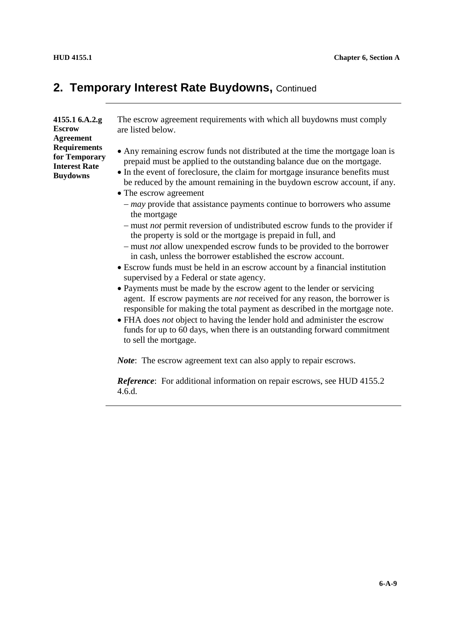#### **2. Temporary Interest Rate Buydowns, Continued**

**4155.1 6.A.2.g Escrow Agreement Requirements for Temporary Interest Rate Buydowns**

The escrow agreement requirements with which all buydowns must comply are listed below.

- Any remaining escrow funds not distributed at the time the mortgage loan is prepaid must be applied to the outstanding balance due on the mortgage.
- In the event of foreclosure, the claim for mortgage insurance benefits must be reduced by the amount remaining in the buydown escrow account, if any.
- The escrow agreement
	- *may* provide that assistance payments continue to borrowers who assume the mortgage
	- must *not* permit reversion of undistributed escrow funds to the provider if the property is sold or the mortgage is prepaid in full, and
	- must *not* allow unexpended escrow funds to be provided to the borrower in cash, unless the borrower established the escrow account.
- Escrow funds must be held in an escrow account by a financial institution supervised by a Federal or state agency.
- Payments must be made by the escrow agent to the lender or servicing agent. If escrow payments are *not* received for any reason, the borrower is responsible for making the total payment as described in the mortgage note.
- FHA does *not* object to having the lender hold and administer the escrow funds for up to 60 days, when there is an outstanding forward commitment to sell the mortgage.

*Note*: The escrow agreement text can also apply to repair escrows.

*Reference*: For additional information on repair escrows, see HUD 4155.2 4.6.d.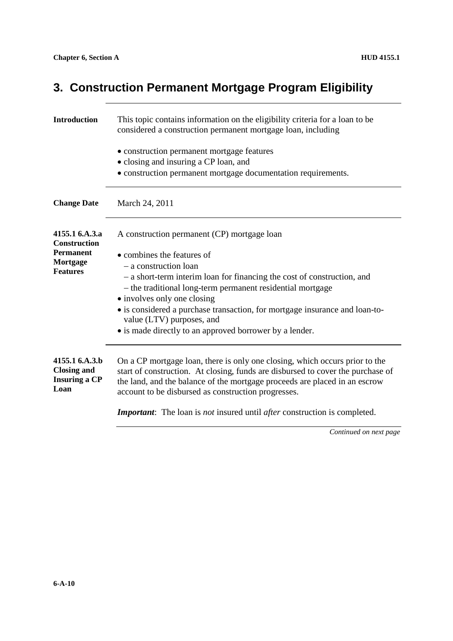# **3. Construction Permanent Mortgage Program Eligibility**

| <b>Introduction</b>                                                               | This topic contains information on the eligibility criteria for a loan to be<br>considered a construction permanent mortgage loan, including                                                                                                                                                                                                                                                                                                      |  |
|-----------------------------------------------------------------------------------|---------------------------------------------------------------------------------------------------------------------------------------------------------------------------------------------------------------------------------------------------------------------------------------------------------------------------------------------------------------------------------------------------------------------------------------------------|--|
|                                                                                   | • construction permanent mortgage features<br>· closing and insuring a CP loan, and<br>• construction permanent mortgage documentation requirements.                                                                                                                                                                                                                                                                                              |  |
| <b>Change Date</b>                                                                | March 24, 2011                                                                                                                                                                                                                                                                                                                                                                                                                                    |  |
| 4155.1 6.A.3.a<br>Construction<br><b>Permanent</b><br>Mortgage<br><b>Features</b> | A construction permanent (CP) mortgage loan<br>• combines the features of<br>- a construction loan<br>- a short-term interim loan for financing the cost of construction, and<br>- the traditional long-term permanent residential mortgage<br>• involves only one closing<br>• is considered a purchase transaction, for mortgage insurance and loan-to-<br>value (LTV) purposes, and<br>• is made directly to an approved borrower by a lender. |  |
| 4155.1 6.A.3.b<br><b>Closing and</b><br><b>Insuring a CP</b><br>Loan              | On a CP mortgage loan, there is only one closing, which occurs prior to the<br>start of construction. At closing, funds are disbursed to cover the purchase of<br>the land, and the balance of the mortgage proceeds are placed in an escrow<br>account to be disbursed as construction progresses.                                                                                                                                               |  |
|                                                                                   | <b>Important:</b> The loan is not insured until after construction is completed.                                                                                                                                                                                                                                                                                                                                                                  |  |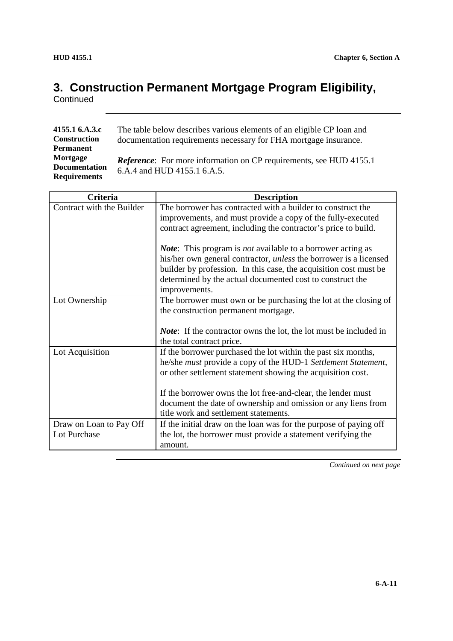# **3. Construction Permanent Mortgage Program Eligibility,**

**Continued** 

| 4155.1 6.A.3.c       | The table below describes various elements of an eligible CP loan and      |
|----------------------|----------------------------------------------------------------------------|
| <b>Construction</b>  | documentation requirements necessary for FHA mortgage insurance.           |
| <b>Permanent</b>     |                                                                            |
| Mortgage             | <i>Reference</i> : For more information on CP requirements, see HUD 4155.1 |
| <b>Documentation</b> | 6.A.4 and HUD 4155.1 6.A.5.                                                |
| <b>Requirements</b>  |                                                                            |

| Criteria                  | <b>Description</b>                                                         |
|---------------------------|----------------------------------------------------------------------------|
| Contract with the Builder | The borrower has contracted with a builder to construct the                |
|                           | improvements, and must provide a copy of the fully-executed                |
|                           | contract agreement, including the contractor's price to build.             |
|                           | <i>Note</i> : This program is <i>not</i> available to a borrower acting as |
|                           | his/her own general contractor, <i>unless</i> the borrower is a licensed   |
|                           | builder by profession. In this case, the acquisition cost must be          |
|                           | determined by the actual documented cost to construct the                  |
|                           | improvements.                                                              |
| Lot Ownership             | The borrower must own or be purchasing the lot at the closing of           |
|                           | the construction permanent mortgage.                                       |
|                           |                                                                            |
|                           | <i>Note</i> : If the contractor owns the lot, the lot must be included in  |
|                           | the total contract price.                                                  |
| Lot Acquisition           | If the borrower purchased the lot within the past six months,              |
|                           | he/she must provide a copy of the HUD-1 Settlement Statement,              |
|                           | or other settlement statement showing the acquisition cost.                |
|                           |                                                                            |
|                           | If the borrower owns the lot free-and-clear, the lender must               |
|                           | document the date of ownership and omission or any liens from              |
|                           | title work and settlement statements.                                      |
| Draw on Loan to Pay Off   | If the initial draw on the loan was for the purpose of paying off          |
| Lot Purchase              | the lot, the borrower must provide a statement verifying the               |
|                           | amount.                                                                    |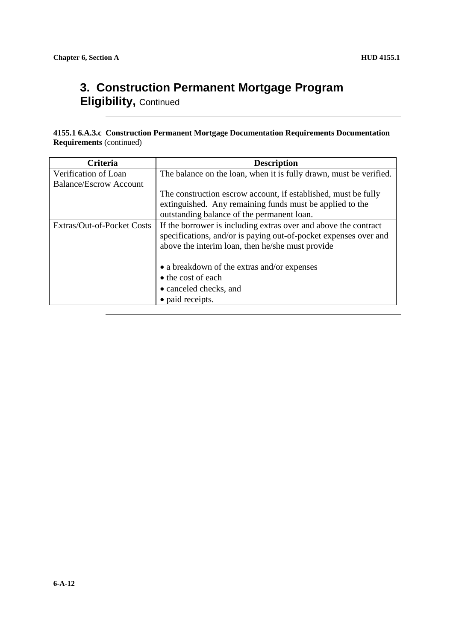#### **3. Construction Permanent Mortgage Program Eligibility,** Continued

**4155.1 6.A.3.c Construction Permanent Mortgage Documentation Requirements Documentation Requirements** (continued)

| Criteria                      | <b>Description</b>                                                 |
|-------------------------------|--------------------------------------------------------------------|
| Verification of Loan          | The balance on the loan, when it is fully drawn, must be verified. |
| <b>Balance/Escrow Account</b> |                                                                    |
|                               | The construction escrow account, if established, must be fully     |
|                               | extinguished. Any remaining funds must be applied to the           |
|                               | outstanding balance of the permanent loan.                         |
| Extras/Out-of-Pocket Costs    | If the borrower is including extras over and above the contract    |
|                               | specifications, and/or is paying out-of-pocket expenses over and   |
|                               | above the interim loan, then he/she must provide                   |
|                               |                                                                    |
|                               | • a breakdown of the extras and/or expenses                        |
|                               | • the cost of each                                                 |
|                               | • canceled checks, and                                             |
|                               | • paid receipts.                                                   |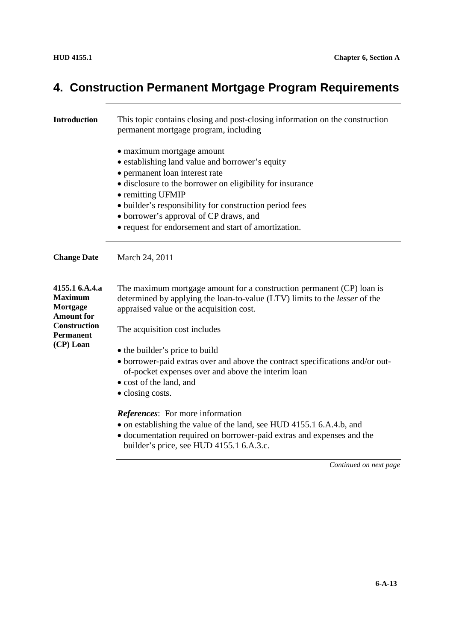# **4. Construction Permanent Mortgage Program Requirements**

| <b>Introduction</b>                                                                                          | This topic contains closing and post-closing information on the construction<br>permanent mortgage program, including                                                                                                                                                                                                                                         |
|--------------------------------------------------------------------------------------------------------------|---------------------------------------------------------------------------------------------------------------------------------------------------------------------------------------------------------------------------------------------------------------------------------------------------------------------------------------------------------------|
|                                                                                                              | • maximum mortgage amount<br>• establishing land value and borrower's equity<br>• permanent loan interest rate<br>• disclosure to the borrower on eligibility for insurance<br>• remitting UFMIP<br>• builder's responsibility for construction period fees<br>• borrower's approval of CP draws, and<br>• request for endorsement and start of amortization. |
| <b>Change Date</b>                                                                                           | March 24, 2011                                                                                                                                                                                                                                                                                                                                                |
| 4155.1 6.A.4.a<br><b>Maximum</b><br>Mortgage<br><b>Amount for</b><br><b>Construction</b><br><b>Permanent</b> | The maximum mortgage amount for a construction permanent (CP) loan is<br>determined by applying the loan-to-value (LTV) limits to the lesser of the<br>appraised value or the acquisition cost.<br>The acquisition cost includes                                                                                                                              |
| (CP) Loan                                                                                                    | • the builder's price to build<br>• borrower-paid extras over and above the contract specifications and/or out-<br>of-pocket expenses over and above the interim loan<br>• cost of the land, and<br>• closing costs.                                                                                                                                          |
|                                                                                                              | <i>References:</i> For more information<br>• on establishing the value of the land, see HUD 4155.1 6.A.4.b, and<br>• documentation required on borrower-paid extras and expenses and the<br>builder's price, see HUD 4155.1 6.A.3.c.                                                                                                                          |
|                                                                                                              | Continued on next page                                                                                                                                                                                                                                                                                                                                        |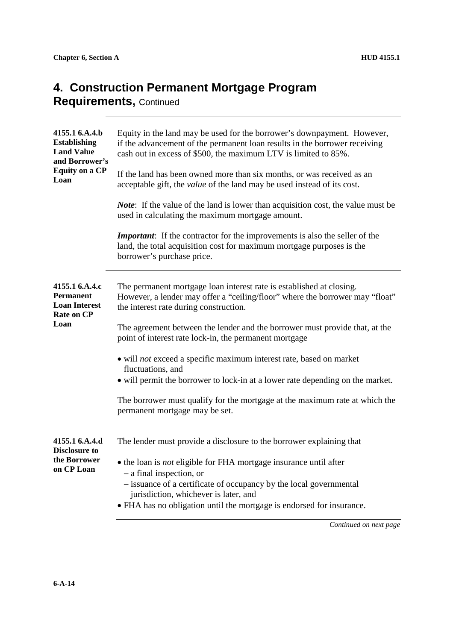### **4. Construction Permanent Mortgage Program**

**Requirements,** Continued

| 4155.1 6.A.4.b<br><b>Establishing</b><br><b>Land Value</b><br>and Borrower's<br><b>Equity on a CP</b><br>Loan | Equity in the land may be used for the borrower's downpayment. However,<br>if the advancement of the permanent loan results in the borrower receiving<br>cash out in excess of \$500, the maximum LTV is limited to 85%.                                                                |
|---------------------------------------------------------------------------------------------------------------|-----------------------------------------------------------------------------------------------------------------------------------------------------------------------------------------------------------------------------------------------------------------------------------------|
|                                                                                                               | If the land has been owned more than six months, or was received as an<br>acceptable gift, the <i>value</i> of the land may be used instead of its cost.                                                                                                                                |
|                                                                                                               | <i>Note</i> : If the value of the land is lower than acquisition cost, the value must be<br>used in calculating the maximum mortgage amount.                                                                                                                                            |
|                                                                                                               | <b>Important:</b> If the contractor for the improvements is also the seller of the<br>land, the total acquisition cost for maximum mortgage purposes is the<br>borrower's purchase price.                                                                                               |
| 4155.1 6.A.4.c<br>Permanent<br><b>Loan Interest</b><br><b>Rate on CP</b>                                      | The permanent mortgage loan interest rate is established at closing.<br>However, a lender may offer a "ceiling/floor" where the borrower may "float"<br>the interest rate during construction.                                                                                          |
| Loan                                                                                                          | The agreement between the lender and the borrower must provide that, at the<br>point of interest rate lock-in, the permanent mortgage                                                                                                                                                   |
|                                                                                                               | • will not exceed a specific maximum interest rate, based on market<br>fluctuations, and<br>• will permit the borrower to lock-in at a lower rate depending on the market.                                                                                                              |
|                                                                                                               | The borrower must qualify for the mortgage at the maximum rate at which the<br>permanent mortgage may be set.                                                                                                                                                                           |
| 4155.1 6.A.4.d<br><b>Disclosure to</b>                                                                        | The lender must provide a disclosure to the borrower explaining that                                                                                                                                                                                                                    |
| the Borrower<br>on CP Loan                                                                                    | • the loan is not eligible for FHA mortgage insurance until after<br>$-$ a final inspection, or<br>- issuance of a certificate of occupancy by the local governmental<br>jurisdiction, whichever is later, and<br>• FHA has no obligation until the mortgage is endorsed for insurance. |
|                                                                                                               |                                                                                                                                                                                                                                                                                         |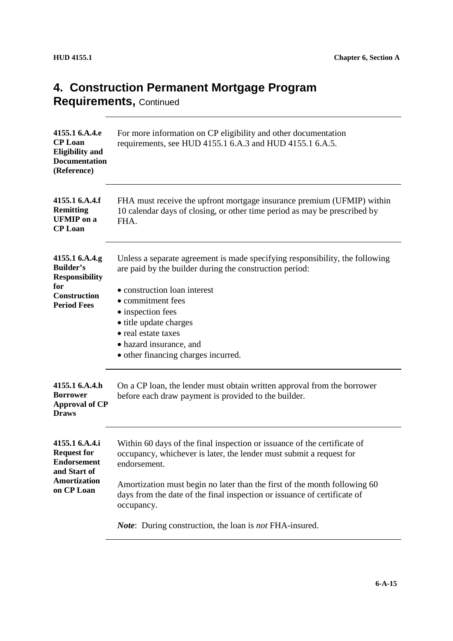### **4. Construction Permanent Mortgage Program**

**Requirements,** Continued

| 4155.1 6.A.4.e<br><b>CP</b> Loan<br><b>Eligibility and</b><br><b>Documentation</b><br>(Reference) | For more information on CP eligibility and other documentation<br>requirements, see HUD 4155.1 6.A.3 and HUD 4155.1 6.A.5.                                                                |
|---------------------------------------------------------------------------------------------------|-------------------------------------------------------------------------------------------------------------------------------------------------------------------------------------------|
| 4155.1 6.A.4.f<br><b>Remitting</b><br><b>UFMIP</b> on a<br><b>CP</b> Loan                         | FHA must receive the upfront mortgage insurance premium (UFMIP) within<br>10 calendar days of closing, or other time period as may be prescribed by<br>FHA.                               |
| 4155.1 6.A.4.g<br><b>Builder's</b><br><b>Responsibility</b>                                       | Unless a separate agreement is made specifying responsibility, the following<br>are paid by the builder during the construction period:                                                   |
| for<br><b>Construction</b><br><b>Period Fees</b>                                                  | • construction loan interest<br>• commitment fees<br>• inspection fees<br>• title update charges<br>• real estate taxes<br>• hazard insurance, and<br>• other financing charges incurred. |
| 4155.1 6.A.4.h<br><b>Borrower</b><br><b>Approval of CP</b><br><b>Draws</b>                        | On a CP loan, the lender must obtain written approval from the borrower<br>before each draw payment is provided to the builder.                                                           |
| 4155.1 6.A.4.i<br><b>Request for</b><br><b>Endorsement</b><br>and Start of                        | Within 60 days of the final inspection or issuance of the certificate of<br>occupancy, whichever is later, the lender must submit a request for<br>endorsement.                           |
| <b>Amortization</b><br>on CP Loan                                                                 | Amortization must begin no later than the first of the month following 60<br>days from the date of the final inspection or issuance of certificate of<br>occupancy.                       |
|                                                                                                   | <i>Note:</i> During construction, the loan is not FHA-insured.                                                                                                                            |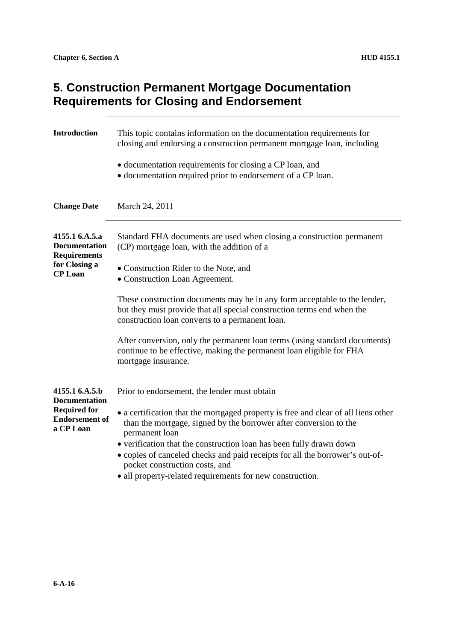#### **5. Construction Permanent Mortgage Documentation Requirements for Closing and Endorsement**

| This topic contains information on the documentation requirements for<br>closing and endorsing a construction permanent mortgage loan, including                                                                                                                                                                                                                                                                                |
|---------------------------------------------------------------------------------------------------------------------------------------------------------------------------------------------------------------------------------------------------------------------------------------------------------------------------------------------------------------------------------------------------------------------------------|
| • documentation requirements for closing a CP loan, and<br>• documentation required prior to endorsement of a CP loan.                                                                                                                                                                                                                                                                                                          |
| March 24, 2011                                                                                                                                                                                                                                                                                                                                                                                                                  |
| Standard FHA documents are used when closing a construction permanent<br>(CP) mortgage loan, with the addition of a                                                                                                                                                                                                                                                                                                             |
| • Construction Rider to the Note, and<br>• Construction Loan Agreement.                                                                                                                                                                                                                                                                                                                                                         |
| These construction documents may be in any form acceptable to the lender,<br>but they must provide that all special construction terms end when the<br>construction loan converts to a permanent loan.                                                                                                                                                                                                                          |
| After conversion, only the permanent loan terms (using standard documents)<br>continue to be effective, making the permanent loan eligible for FHA<br>mortgage insurance.                                                                                                                                                                                                                                                       |
| Prior to endorsement, the lender must obtain                                                                                                                                                                                                                                                                                                                                                                                    |
| • a certification that the mortgaged property is free and clear of all liens other<br>than the mortgage, signed by the borrower after conversion to the<br>permanent loan<br>• verification that the construction loan has been fully drawn down<br>• copies of canceled checks and paid receipts for all the borrower's out-of-<br>pocket construction costs, and<br>• all property-related requirements for new construction. |
|                                                                                                                                                                                                                                                                                                                                                                                                                                 |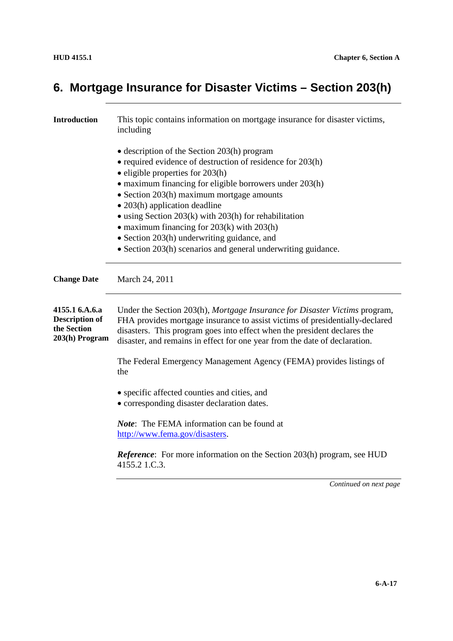| <b>Introduction</b>                                                      | This topic contains information on mortgage insurance for disaster victims,<br>including                                                                                                                                                                                                                                                                                                                                                                                                                                                          |
|--------------------------------------------------------------------------|---------------------------------------------------------------------------------------------------------------------------------------------------------------------------------------------------------------------------------------------------------------------------------------------------------------------------------------------------------------------------------------------------------------------------------------------------------------------------------------------------------------------------------------------------|
|                                                                          | $\bullet$ description of the Section 203(h) program<br>• required evidence of destruction of residence for 203(h)<br>$\bullet$ eligible properties for 203(h)<br>• maximum financing for eligible borrowers under 203(h)<br>• Section 203(h) maximum mortgage amounts<br>$\bullet$ 203(h) application deadline<br>$\bullet$ using Section 203(k) with 203(h) for rehabilitation<br>• maximum financing for $203(k)$ with $203(h)$<br>• Section 203(h) underwriting guidance, and<br>• Section 203(h) scenarios and general underwriting guidance. |
| <b>Change Date</b>                                                       | March 24, 2011                                                                                                                                                                                                                                                                                                                                                                                                                                                                                                                                    |
| 4155.1 6.A.6.a<br><b>Description of</b><br>the Section<br>203(h) Program | Under the Section 203(h), Mortgage Insurance for Disaster Victims program,<br>FHA provides mortgage insurance to assist victims of presidentially-declared<br>disasters. This program goes into effect when the president declares the<br>disaster, and remains in effect for one year from the date of declaration.                                                                                                                                                                                                                              |
|                                                                          | The Federal Emergency Management Agency (FEMA) provides listings of<br>the                                                                                                                                                                                                                                                                                                                                                                                                                                                                        |
|                                                                          | • specific affected counties and cities, and<br>• corresponding disaster declaration dates.                                                                                                                                                                                                                                                                                                                                                                                                                                                       |
|                                                                          | <i>Note</i> : The FEMA information can be found at<br>http://www.fema.gov/disasters.                                                                                                                                                                                                                                                                                                                                                                                                                                                              |
|                                                                          | <b>Reference:</b> For more information on the Section 203(h) program, see HUD<br>4155.2 1.C.3.                                                                                                                                                                                                                                                                                                                                                                                                                                                    |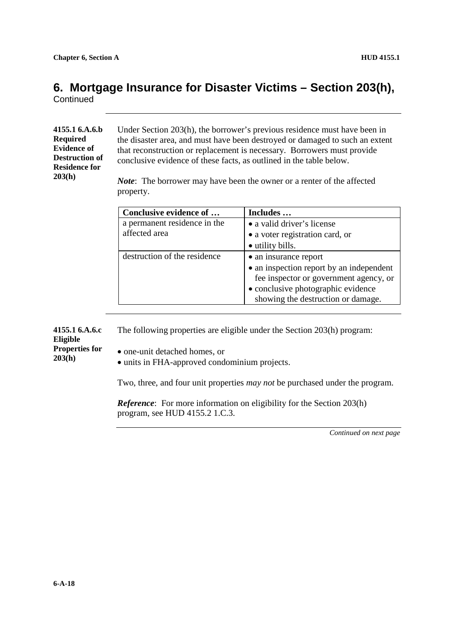**Continued** 

#### **4155.1 6.A.6.b Required Evidence of Destruction of Residence for 203(h)**

Under Section 203(h), the borrower's previous residence must have been in the disaster area, and must have been destroyed or damaged to such an extent that reconstruction or replacement is necessary. Borrowers must provide conclusive evidence of these facts, as outlined in the table below.

*Note*: The borrower may have been the owner or a renter of the affected property.

| Conclusive evidence of       | Includes                                 |
|------------------------------|------------------------------------------|
| a permanent residence in the | • a valid driver's license               |
| affected area                | • a voter registration card, or          |
|                              | • utility bills.                         |
| destruction of the residence | • an insurance report                    |
|                              | • an inspection report by an independent |
|                              | fee inspector or government agency, or   |
|                              | • conclusive photographic evidence       |
|                              | showing the destruction or damage.       |

**4155.1 6.A.6.c Eligible** The following properties are eligible under the Section 203(h) program:

**Properties for 203(h)**

- one-unit detached homes, or
- units in FHA-approved condominium projects.

Two, three, and four unit properties *may not* be purchased under the program.

*Reference*: For more information on eligibility for the Section 203(h) program, see HUD 4155.2 1.C.3.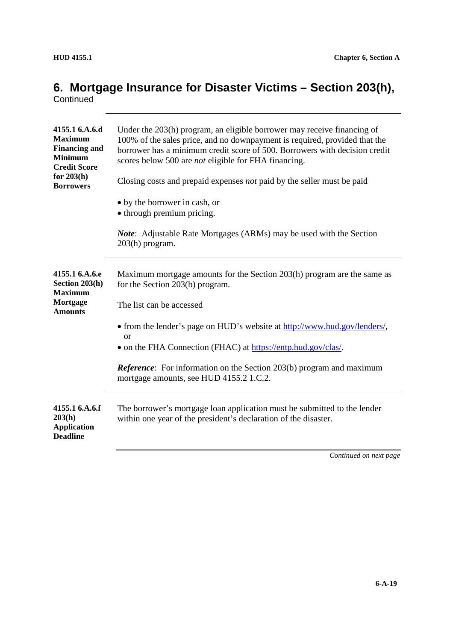| 4155.1 6.A.6.d<br><b>Maximum</b><br><b>Financing and</b><br><b>Minimum</b><br><b>Credit Score</b> | Under the 203(h) program, an eligible borrower may receive financing of<br>100% of the sales price, and no downpayment is required, provided that the<br>borrower has a minimum credit score of 500. Borrowers with decision credit<br>scores below 500 are not eligible for FHA financing. |
|---------------------------------------------------------------------------------------------------|---------------------------------------------------------------------------------------------------------------------------------------------------------------------------------------------------------------------------------------------------------------------------------------------|
| for $203(h)$<br><b>Borrowers</b>                                                                  | Closing costs and prepaid expenses <i>not</i> paid by the seller must be paid                                                                                                                                                                                                               |
|                                                                                                   | • by the borrower in cash, or                                                                                                                                                                                                                                                               |
|                                                                                                   | • through premium pricing.                                                                                                                                                                                                                                                                  |
|                                                                                                   | <b>Note:</b> Adjustable Rate Mortgages (ARMs) may be used with the Section<br>203(h) program.                                                                                                                                                                                               |
| 4155.1 6.A.6.e<br>Section 203(h)<br><b>Maximum</b>                                                | Maximum mortgage amounts for the Section 203(h) program are the same as<br>for the Section 203(b) program.                                                                                                                                                                                  |
| Mortgage<br><b>Amounts</b>                                                                        | The list can be accessed                                                                                                                                                                                                                                                                    |
|                                                                                                   | • from the lender's page on HUD's website at http://www.hud.gov/lenders/,<br>$\alpha$                                                                                                                                                                                                       |
|                                                                                                   | • on the FHA Connection (FHAC) at https://entp.hud.gov/clas/.                                                                                                                                                                                                                               |
|                                                                                                   | <b>Reference:</b> For information on the Section 203(b) program and maximum<br>mortgage amounts, see HUD 4155.2 1.C.2.                                                                                                                                                                      |
| 4155.1 6.A.6.f<br>203(h)<br><b>Application</b><br><b>Deadline</b>                                 | The borrower's mortgage loan application must be submitted to the lender<br>within one year of the president's declaration of the disaster.                                                                                                                                                 |
|                                                                                                   | Continued on next page                                                                                                                                                                                                                                                                      |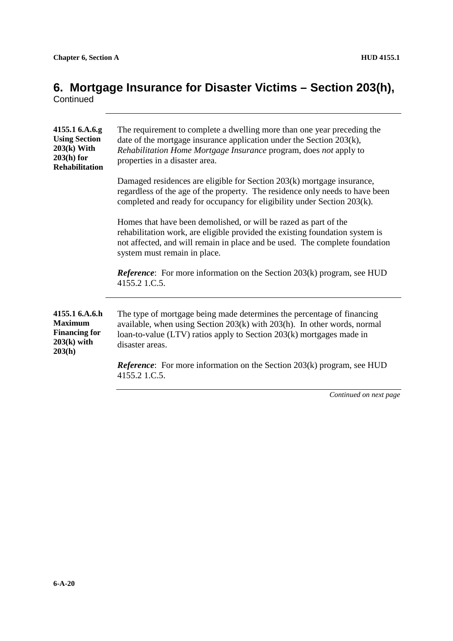| The requirement to complete a dwelling more than one year preceding the<br>date of the mortgage insurance application under the Section 203(k),<br>Rehabilitation Home Mortgage Insurance program, does not apply to<br>properties in a disaster area.          |
|-----------------------------------------------------------------------------------------------------------------------------------------------------------------------------------------------------------------------------------------------------------------|
| Damaged residences are eligible for Section 203(k) mortgage insurance,<br>regardless of the age of the property. The residence only needs to have been<br>completed and ready for occupancy for eligibility under Section 203(k).                               |
| Homes that have been demolished, or will be razed as part of the<br>rehabilitation work, are eligible provided the existing foundation system is<br>not affected, and will remain in place and be used. The complete foundation<br>system must remain in place. |
| <b>Reference:</b> For more information on the Section 203(k) program, see HUD<br>4155.2 1.C.5.                                                                                                                                                                  |
| The type of mortgage being made determines the percentage of financing<br>available, when using Section 203(k) with 203(h). In other words, normal<br>loan-to-value (LTV) ratios apply to Section 203(k) mortgages made in<br>disaster areas.                   |
| <i>Reference</i> : For more information on the Section $203(k)$ program, see HUD<br>4155.2 1.C.5.                                                                                                                                                               |
|                                                                                                                                                                                                                                                                 |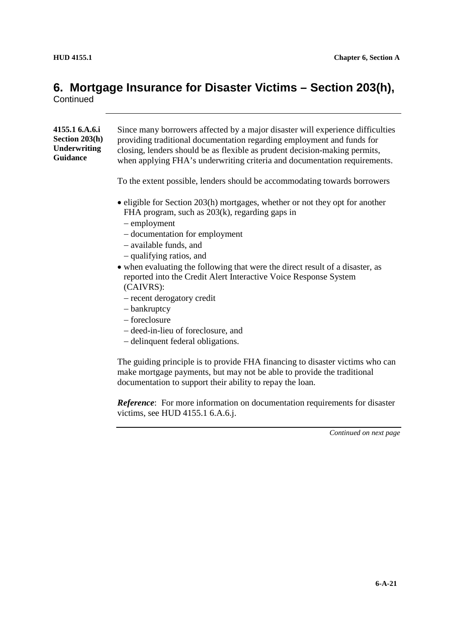| 4155.1 6.A.6.i<br>Section 203(h)<br><b>Underwriting</b><br>Guidance | Since many borrowers affected by a major disaster will experience difficulties<br>providing traditional documentation regarding employment and funds for<br>closing, lenders should be as flexible as prudent decision-making permits,<br>when applying FHA's underwriting criteria and documentation requirements. |
|---------------------------------------------------------------------|---------------------------------------------------------------------------------------------------------------------------------------------------------------------------------------------------------------------------------------------------------------------------------------------------------------------|
|                                                                     | To the extent possible, lenders should be accommodating towards borrowers                                                                                                                                                                                                                                           |
|                                                                     | • eligible for Section 203(h) mortgages, whether or not they opt for another<br>FHA program, such as $203(k)$ , regarding gaps in<br>- employment<br>- documentation for employment                                                                                                                                 |
|                                                                     | - available funds, and<br>- qualifying ratios, and                                                                                                                                                                                                                                                                  |
|                                                                     | • when evaluating the following that were the direct result of a disaster, as<br>reported into the Credit Alert Interactive Voice Response System<br>(CAIVRS):                                                                                                                                                      |
|                                                                     | - recent derogatory credit                                                                                                                                                                                                                                                                                          |
|                                                                     | - bankruptcy<br>- foreclosure                                                                                                                                                                                                                                                                                       |
|                                                                     | - deed-in-lieu of foreclosure, and                                                                                                                                                                                                                                                                                  |
|                                                                     | - delinquent federal obligations.                                                                                                                                                                                                                                                                                   |
|                                                                     | The guiding principle is to provide FHA financing to disaster victims who can<br>make mortgage payments, but may not be able to provide the traditional                                                                                                                                                             |

documentation to support their ability to repay the loan.

*Reference*: For more information on documentation requirements for disaster victims, see HUD 4155.1 6.A.6.j.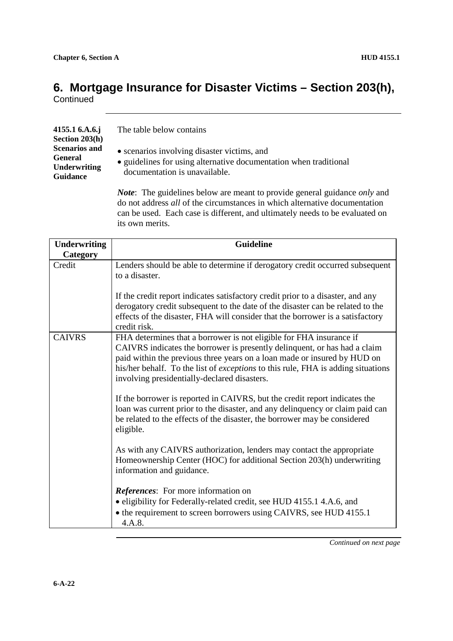**Continued** 

*Note*: The guidelines below are meant to provide general guidance *only* and do not address *all* of the circumstances in which alternative documentation can be used. Each case is different, and ultimately needs to be evaluated on its own merits.

| <b>Underwriting</b> | <b>Guideline</b>                                                                                                                                                                                                                                                                                                                                                        |
|---------------------|-------------------------------------------------------------------------------------------------------------------------------------------------------------------------------------------------------------------------------------------------------------------------------------------------------------------------------------------------------------------------|
| Category            |                                                                                                                                                                                                                                                                                                                                                                         |
| Credit              | Lenders should be able to determine if derogatory credit occurred subsequent<br>to a disaster.                                                                                                                                                                                                                                                                          |
|                     | If the credit report indicates satisfactory credit prior to a disaster, and any<br>derogatory credit subsequent to the date of the disaster can be related to the<br>effects of the disaster, FHA will consider that the borrower is a satisfactory<br>credit risk.                                                                                                     |
| <b>CAIVRS</b>       | FHA determines that a borrower is not eligible for FHA insurance if<br>CAIVRS indicates the borrower is presently delinquent, or has had a claim<br>paid within the previous three years on a loan made or insured by HUD on<br>his/her behalf. To the list of <i>exceptions</i> to this rule, FHA is adding situations<br>involving presidentially-declared disasters. |
|                     | If the borrower is reported in CAIVRS, but the credit report indicates the<br>loan was current prior to the disaster, and any delinquency or claim paid can<br>be related to the effects of the disaster, the borrower may be considered<br>eligible.                                                                                                                   |
|                     | As with any CAIVRS authorization, lenders may contact the appropriate<br>Homeownership Center (HOC) for additional Section 203(h) underwriting<br>information and guidance.                                                                                                                                                                                             |
|                     | <i>References:</i> For more information on<br>· eligibility for Federally-related credit, see HUD 4155.1 4.A.6, and<br>• the requirement to screen borrowers using CAIVRS, see HUD 4155.1<br>4.A.8.                                                                                                                                                                     |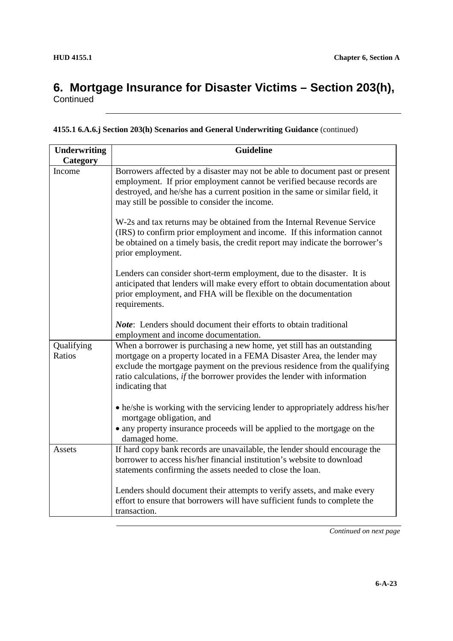| 4155.1 6.A.6.j Section 203(h) Scenarios and General Underwriting Guidance (continued) |  |  |
|---------------------------------------------------------------------------------------|--|--|
|---------------------------------------------------------------------------------------|--|--|

| <b>Underwriting</b>  | <b>Guideline</b>                                                                                                                                                                                                                                                                                                                     |
|----------------------|--------------------------------------------------------------------------------------------------------------------------------------------------------------------------------------------------------------------------------------------------------------------------------------------------------------------------------------|
| Category             |                                                                                                                                                                                                                                                                                                                                      |
| Income               | Borrowers affected by a disaster may not be able to document past or present<br>employment. If prior employment cannot be verified because records are<br>destroyed, and he/she has a current position in the same or similar field, it<br>may still be possible to consider the income.                                             |
|                      | W-2s and tax returns may be obtained from the Internal Revenue Service<br>(IRS) to confirm prior employment and income. If this information cannot<br>be obtained on a timely basis, the credit report may indicate the borrower's<br>prior employment.                                                                              |
|                      | Lenders can consider short-term employment, due to the disaster. It is<br>anticipated that lenders will make every effort to obtain documentation about<br>prior employment, and FHA will be flexible on the documentation<br>requirements.                                                                                          |
|                      | <i>Note</i> : Lenders should document their efforts to obtain traditional<br>employment and income documentation.                                                                                                                                                                                                                    |
| Qualifying<br>Ratios | When a borrower is purchasing a new home, yet still has an outstanding<br>mortgage on a property located in a FEMA Disaster Area, the lender may<br>exclude the mortgage payment on the previous residence from the qualifying<br>ratio calculations, <i>if</i> the borrower provides the lender with information<br>indicating that |
|                      | • he/she is working with the servicing lender to appropriately address his/her<br>mortgage obligation, and<br>• any property insurance proceeds will be applied to the mortgage on the<br>damaged home.                                                                                                                              |
| Assets               | If hard copy bank records are unavailable, the lender should encourage the<br>borrower to access his/her financial institution's website to download<br>statements confirming the assets needed to close the loan.                                                                                                                   |
|                      | Lenders should document their attempts to verify assets, and make every<br>effort to ensure that borrowers will have sufficient funds to complete the<br>transaction.                                                                                                                                                                |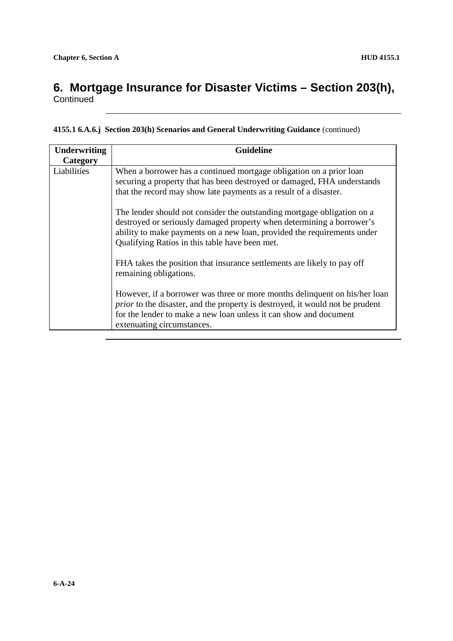**Continued** 

| 4155.1 6.A.6.j Section 203(h) Scenarios and General Underwriting Guidance (continued) |  |  |  |  |  |  |
|---------------------------------------------------------------------------------------|--|--|--|--|--|--|
|---------------------------------------------------------------------------------------|--|--|--|--|--|--|

| <b>Underwriting</b> | <b>Guideline</b>                                                                                                                                                                                                                                                              |
|---------------------|-------------------------------------------------------------------------------------------------------------------------------------------------------------------------------------------------------------------------------------------------------------------------------|
| Category            |                                                                                                                                                                                                                                                                               |
| Liabilities         | When a borrower has a continued mortgage obligation on a prior loan<br>securing a property that has been destroyed or damaged, FHA understands<br>that the record may show late payments as a result of a disaster.                                                           |
|                     | The lender should not consider the outstanding mortgage obligation on a<br>destroyed or seriously damaged property when determining a borrower's<br>ability to make payments on a new loan, provided the requirements under<br>Qualifying Ratios in this table have been met. |
|                     | FHA takes the position that insurance settlements are likely to pay off<br>remaining obligations.                                                                                                                                                                             |
|                     | However, if a borrower was three or more months delinquent on his/her loan<br><i>prior</i> to the disaster, and the property is destroyed, it would not be prudent<br>for the lender to make a new loan unless it can show and document<br>extenuating circumstances.         |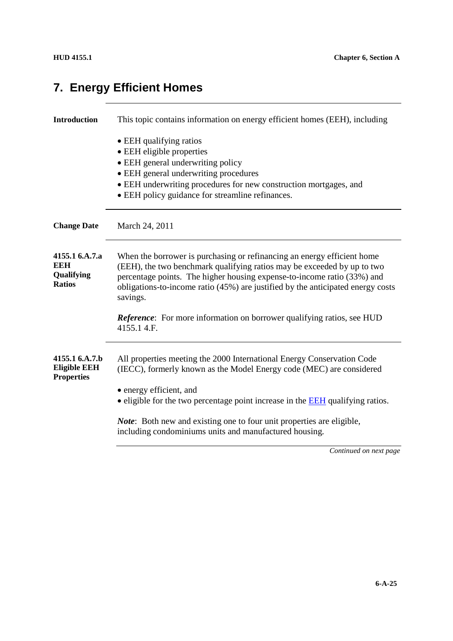#### **Introduction** This topic contains information on energy efficient homes (EEH), including • EEH qualifying ratios • EEH eligible properties • EEH general underwriting policy EEH general underwriting procedures EEH underwriting procedures for new construction mortgages, and EEH policy guidance for streamline refinances. **Change Date** March 24, 2011 **4155.1 6.A.7.a EEH Qualifying Ratios** When the borrower is purchasing or refinancing an energy efficient home (EEH), the two benchmark qualifying ratios may be exceeded by up to two percentage points. The higher housing expense-to-income ratio (33%) and obligations-to-income ratio (45%) are justified by the anticipated energy costs savings. *Reference*: For more information on borrower qualifying ratios, see HUD 4155.1 4.F. **4155.1 6.A.7.b Eligible EEH Properties** All properties meeting the 2000 International Energy Conservation Code (IECC), formerly known as the Model Energy code (MEC) are considered energy efficient, and • eligible for the two percentage point increase in the EEH qualifying ratios. *Note*: Both new and existing one to four unit properties are eligible, including condominiums units and manufactured housing. *Continued on next page*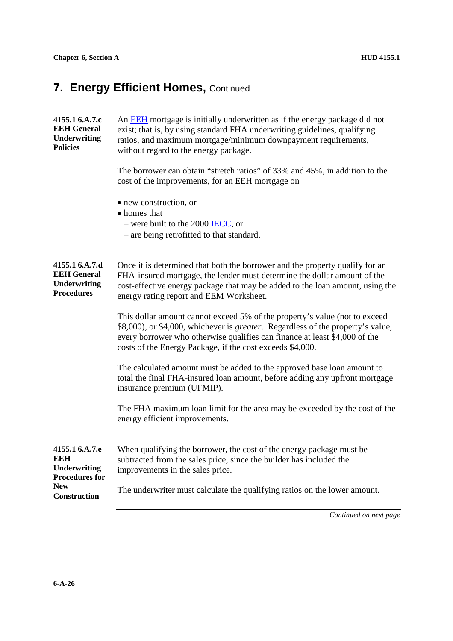# **7. Energy Efficient Homes, Continued**

| 4155.1 6.A.7.c<br><b>EEH General</b><br><b>Underwriting</b><br><b>Policies</b>   | An EEH mortgage is initially underwritten as if the energy package did not<br>exist; that is, by using standard FHA underwriting guidelines, qualifying<br>ratios, and maximum mortgage/minimum downpayment requirements,<br>without regard to the energy package.                                       |  |  |
|----------------------------------------------------------------------------------|----------------------------------------------------------------------------------------------------------------------------------------------------------------------------------------------------------------------------------------------------------------------------------------------------------|--|--|
|                                                                                  | The borrower can obtain "stretch ratios" of 33% and 45%, in addition to the<br>cost of the improvements, for an EEH mortgage on                                                                                                                                                                          |  |  |
|                                                                                  | • new construction, or<br>• homes that<br>– were built to the 2000 $\overline{\text{IECC}}$ , or<br>- are being retrofitted to that standard.                                                                                                                                                            |  |  |
| 4155.1 6.A.7.d<br><b>EEH General</b><br><b>Underwriting</b><br><b>Procedures</b> | Once it is determined that both the borrower and the property qualify for an<br>FHA-insured mortgage, the lender must determine the dollar amount of the<br>cost-effective energy package that may be added to the loan amount, using the<br>energy rating report and EEM Worksheet.                     |  |  |
|                                                                                  | This dollar amount cannot exceed 5% of the property's value (not to exceed<br>\$8,000), or \$4,000, whichever is greater. Regardless of the property's value,<br>every borrower who otherwise qualifies can finance at least \$4,000 of the<br>costs of the Energy Package, if the cost exceeds \$4,000. |  |  |
|                                                                                  | The calculated amount must be added to the approved base loan amount to<br>total the final FHA-insured loan amount, before adding any upfront mortgage<br>insurance premium (UFMIP).                                                                                                                     |  |  |
|                                                                                  | The FHA maximum loan limit for the area may be exceeded by the cost of the<br>energy efficient improvements.                                                                                                                                                                                             |  |  |
| 4155.1 6.A.7.e<br><b>EEH</b><br><b>Underwriting</b><br><b>Procedures for</b>     | When qualifying the borrower, the cost of the energy package must be<br>subtracted from the sales price, since the builder has included the<br>improvements in the sales price.                                                                                                                          |  |  |
| <b>New</b><br>Construction                                                       | The underwriter must calculate the qualifying ratios on the lower amount.                                                                                                                                                                                                                                |  |  |
|                                                                                  | Continued on next page                                                                                                                                                                                                                                                                                   |  |  |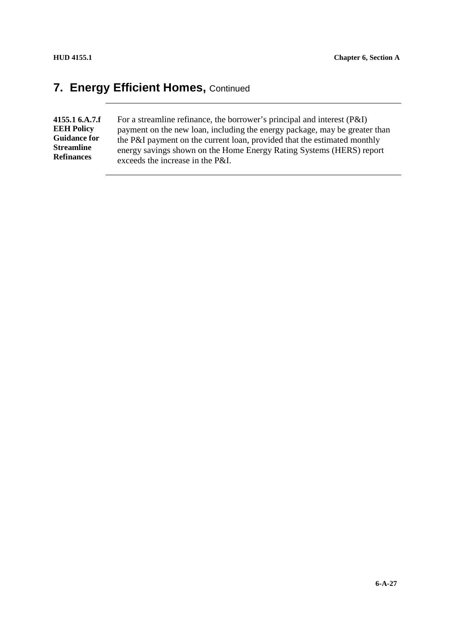#### **7. Energy Efficient Homes, Continued**

**4155.1 6.A.7.f EEH Policy Guidance for Streamline Refinances**

For a streamline refinance, the borrower's principal and interest (P&I) payment on the new loan, including the energy package, may be greater than the P&I payment on the current loan, provided that the estimated monthly energy savings shown on the Home Energy Rating Systems (HERS) report exceeds the increase in the P&I.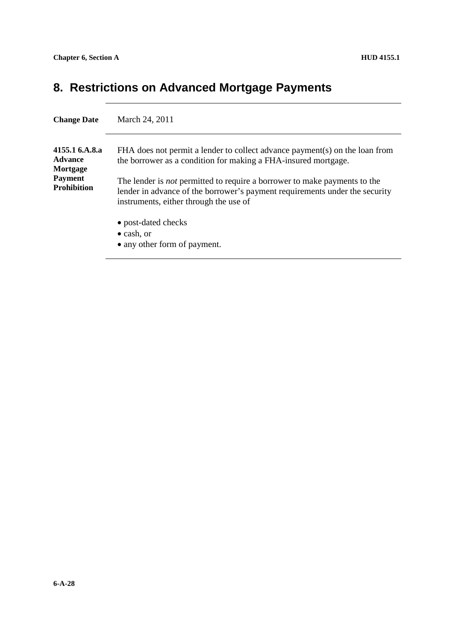### **8. Restrictions on Advanced Mortgage Payments**

| <b>Change Date</b>                                                                   | March 24, 2011                                                                                                                                                                                                                                                                                                                                             |
|--------------------------------------------------------------------------------------|------------------------------------------------------------------------------------------------------------------------------------------------------------------------------------------------------------------------------------------------------------------------------------------------------------------------------------------------------------|
| 4155.1 6.A.8.a<br><b>Advance</b><br>Mortgage<br><b>Payment</b><br><b>Prohibition</b> | FHA does not permit a lender to collect advance payment(s) on the loan from<br>the borrower as a condition for making a FHA-insured mortgage.<br>The lender is <i>not</i> permitted to require a borrower to make payments to the<br>lender in advance of the borrower's payment requirements under the security<br>instruments, either through the use of |
|                                                                                      | • post-dated checks<br>$\bullet$ cash, or<br>• any other form of payment.                                                                                                                                                                                                                                                                                  |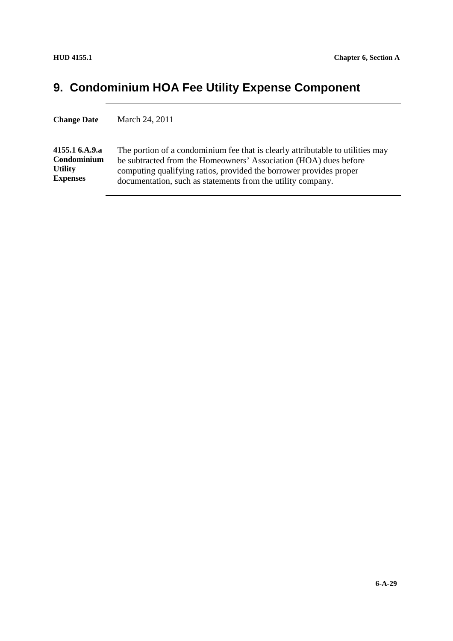# **9. Condominium HOA Fee Utility Expense Component**

| <b>Change Date</b> | March 24, 2011                                                                 |
|--------------------|--------------------------------------------------------------------------------|
| 4155.1 6.A.9.a     | The portion of a condominium fee that is clearly attributable to utilities may |
| Condominium        | be subtracted from the Homeowners' Association (HOA) dues before               |
| <b>Utility</b>     | computing qualifying ratios, provided the borrower provides proper             |
| <b>Expenses</b>    | documentation, such as statements from the utility company.                    |